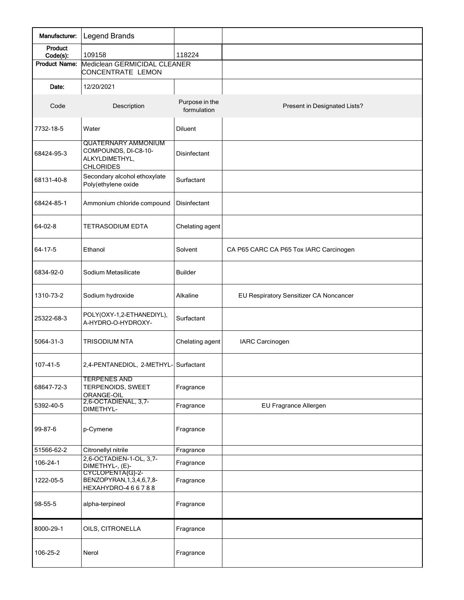| Manufacturer:                    | Legend Brands                                                                            |                               |                                        |
|----------------------------------|------------------------------------------------------------------------------------------|-------------------------------|----------------------------------------|
| Product                          | 109158                                                                                   | 118224                        |                                        |
| Code(s):<br><b>Product Name:</b> | Mediclean GERMICIDAL CLEANER<br>CONCENTRATE LEMON                                        |                               |                                        |
| Date:                            | 12/20/2021                                                                               |                               |                                        |
| Code                             | Description                                                                              | Purpose in the<br>formulation | Present in Designated Lists?           |
| 7732-18-5                        | Water                                                                                    | <b>Diluent</b>                |                                        |
| 68424-95-3                       | <b>QUATERNARY AMMONIUM</b><br>COMPOUNDS, DI-C8-10-<br>ALKYLDIMETHYL,<br><b>CHLORIDES</b> | <b>Disinfectant</b>           |                                        |
| 68131-40-8                       | Secondary alcohol ethoxylate<br>Poly(ethylene oxide                                      | Surfactant                    |                                        |
| 68424-85-1                       | Ammonium chloride compound                                                               | Disinfectant                  |                                        |
| 64-02-8                          | <b>TETRASODIUM EDTA</b>                                                                  | Chelating agent               |                                        |
| 64-17-5                          | Ethanol                                                                                  | Solvent                       | CA P65 CARC CA P65 Tox IARC Carcinogen |
| 6834-92-0                        | Sodium Metasilicate                                                                      | <b>Builder</b>                |                                        |
| 1310-73-2                        | Sodium hydroxide                                                                         | Alkaline                      | EU Respiratory Sensitizer CA Noncancer |
| 25322-68-3                       | POLY(OXY-1,2-ETHANEDIYL),<br>A-HYDRO-O-HYDROXY-                                          | Surfactant                    |                                        |
| 5064-31-3                        | <b>TRISODIUM NTA</b>                                                                     | Chelating agent               | <b>IARC Carcinogen</b>                 |
| 107-41-5                         | 2,4-PENTANEDIOL, 2-METHYL- Surfactant                                                    |                               |                                        |
| 68647-72-3                       | <b>TERPENES AND</b><br>TERPENOIDS, SWEET<br>ORANGE-OIL                                   | Fragrance                     |                                        |
| 5392-40-5                        | 2,6-OCTADIENAL, 3,7-<br>DIMETHYL-                                                        | Fragrance                     | EU Fragrance Allergen                  |
| 99-87-6                          | p-Cymene                                                                                 | Fragrance                     |                                        |
| 51566-62-2                       | Citronellyl nitrile                                                                      | Fragrance                     |                                        |
| 106-24-1                         | 2,6-OCTADIEN-1-OL, 3,7-<br>DIMETHYL-, (E)-                                               | Fragrance                     |                                        |
| 1222-05-5                        | CYCLOPENTA(G}-2-<br>BENZOPYRAN, 1, 3, 4, 6, 7, 8-<br>HEXAHYDRO-466788                    | Fragrance                     |                                        |
| 98-55-5                          | alpha-terpineol                                                                          | Fragrance                     |                                        |
| 8000-29-1                        | OILS, CITRONELLA                                                                         | Fragrance                     |                                        |
| 106-25-2                         | Nerol                                                                                    | Fragrance                     |                                        |